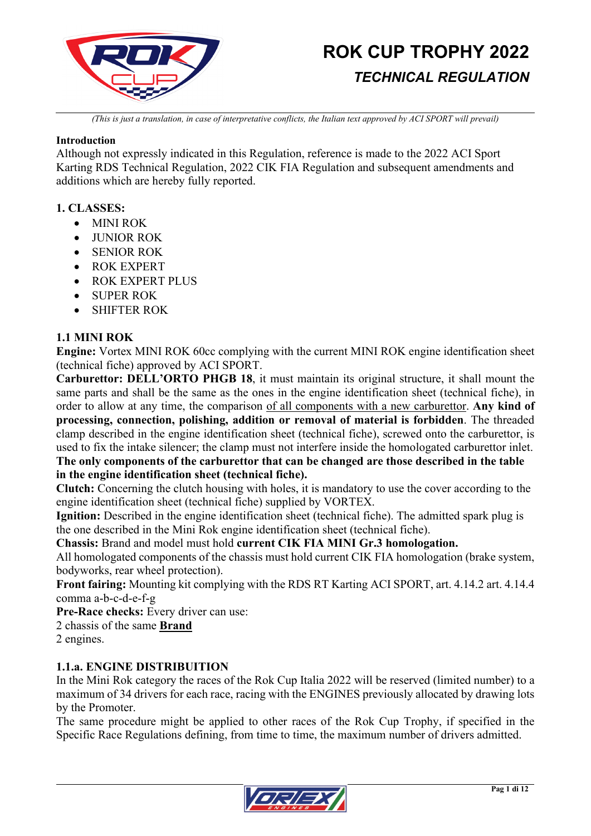

*(This is just a translation, in case of interpretative conflicts, the Italian text approved by ACI SPORT will prevail)*

### **Introduction**

Although not expressly indicated in this Regulation, reference is made to the 2022 ACI Sport Karting RDS Technical Regulation, 2022 CIK FIA Regulation and subsequent amendments and additions which are hereby fully reported.

### **1. CLASSES:**

- MINI ROK
- **IUNIOR ROK**
- SENIOR ROK
- ROK EXPERT
- ROK EXPERT PLUS
- SUPER ROK
- SHIFTER ROK

### **1.1 MINI ROK**

**Engine:** Vortex MINI ROK 60cc complying with the current MINI ROK engine identification sheet (technical fiche) approved by ACI SPORT.

**Carburettor: DELL'ORTO PHGB 18**, it must maintain its original structure, it shall mount the same parts and shall be the same as the ones in the engine identification sheet (technical fiche), in order to allow at any time, the comparison of all components with a new carburettor. **Any kind of processing, connection, polishing, addition or removal of material is forbidden**. The threaded clamp described in the engine identification sheet (technical fiche), screwed onto the carburettor, is used to fix the intake silencer; the clamp must not interfere inside the homologated carburettor inlet.

### **The only components of the carburettor that can be changed are those described in the table in the engine identification sheet (technical fiche).**

**Clutch:** Concerning the clutch housing with holes, it is mandatory to use the cover according to the engine identification sheet (technical fiche) supplied by VORTEX.

**Ignition:** Described in the engine identification sheet (technical fiche). The admitted spark plug is the one described in the Mini Rok engine identification sheet (technical fiche).

**Chassis:** Brand and model must hold **current CIK FIA MINI Gr.3 homologation.**

All homologated components of the chassis must hold current CIK FIA homologation (brake system, bodyworks, rear wheel protection).

**Front fairing:** Mounting kit complying with the RDS RT Karting ACI SPORT, art. 4.14.2 art. 4.14.4 comma a-b-c-d-e-f-g

**Pre-Race checks:** Every driver can use:

2 chassis of the same **Brand**

2 engines.

### **1.1.a. ENGINE DISTRIBUITION**

In the Mini Rok category the races of the Rok Cup Italia 2022 will be reserved (limited number) to a maximum of 34 drivers for each race, racing with the ENGINES previously allocated by drawing lots by the Promoter.

The same procedure might be applied to other races of the Rok Cup Trophy, if specified in the Specific Race Regulations defining, from time to time, the maximum number of drivers admitted.

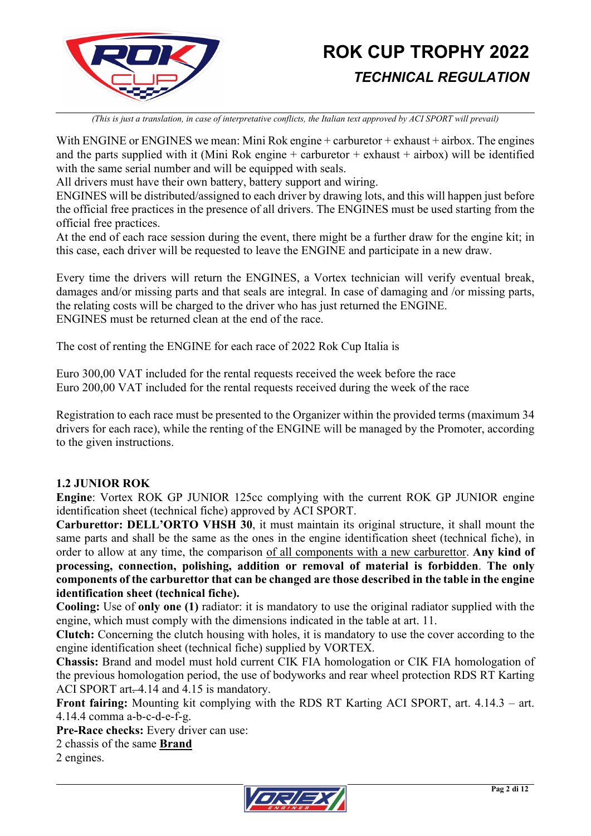

*(This is just a translation, in case of interpretative conflicts, the Italian text approved by ACI SPORT will prevail)*

With ENGINE or ENGINES we mean: Mini Rok engine + carburetor + exhaust + airbox. The engines and the parts supplied with it (Mini Rok engine  $+$  carburetor  $+$  exhaust  $+$  airbox) will be identified with the same serial number and will be equipped with seals.

All drivers must have their own battery, battery support and wiring.

ENGINES will be distributed/assigned to each driver by drawing lots, and this will happen just before the official free practices in the presence of all drivers. The ENGINES must be used starting from the official free practices.

At the end of each race session during the event, there might be a further draw for the engine kit; in this case, each driver will be requested to leave the ENGINE and participate in a new draw.

Every time the drivers will return the ENGINES, a Vortex technician will verify eventual break, damages and/or missing parts and that seals are integral. In case of damaging and /or missing parts, the relating costs will be charged to the driver who has just returned the ENGINE. ENGINES must be returned clean at the end of the race.

The cost of renting the ENGINE for each race of 2022 Rok Cup Italia is

Euro 300,00 VAT included for the rental requests received the week before the race Euro 200,00 VAT included for the rental requests received during the week of the race

Registration to each race must be presented to the Organizer within the provided terms (maximum 34 drivers for each race), while the renting of the ENGINE will be managed by the Promoter, according to the given instructions.

### **1.2 JUNIOR ROK**

**Engine**: Vortex ROK GP JUNIOR 125cc complying with the current ROK GP JUNIOR engine identification sheet (technical fiche) approved by ACI SPORT.

**Carburettor: DELL'ORTO VHSH 30**, it must maintain its original structure, it shall mount the same parts and shall be the same as the ones in the engine identification sheet (technical fiche), in order to allow at any time, the comparison of all components with a new carburettor. **Any kind of processing, connection, polishing, addition or removal of material is forbidden**. **The only components of the carburettor that can be changed are those described in the table in the engine identification sheet (technical fiche).**

**Cooling:** Use of **only one (1)** radiator: it is mandatory to use the original radiator supplied with the engine, which must comply with the dimensions indicated in the table at art. 11.

**Clutch:** Concerning the clutch housing with holes, it is mandatory to use the cover according to the engine identification sheet (technical fiche) supplied by VORTEX.

**Chassis:** Brand and model must hold current CIK FIA homologation or CIK FIA homologation of the previous homologation period, the use of bodyworks and rear wheel protection RDS RT Karting ACI SPORT art. 4.14 and 4.15 is mandatory.

**Front fairing:** Mounting kit complying with the RDS RT Karting ACI SPORT, art. 4.14.3 – art. 4.14.4 comma a-b-c-d-e-f-g.

**Pre-Race checks:** Every driver can use:

2 chassis of the same **Brand**

2 engines.

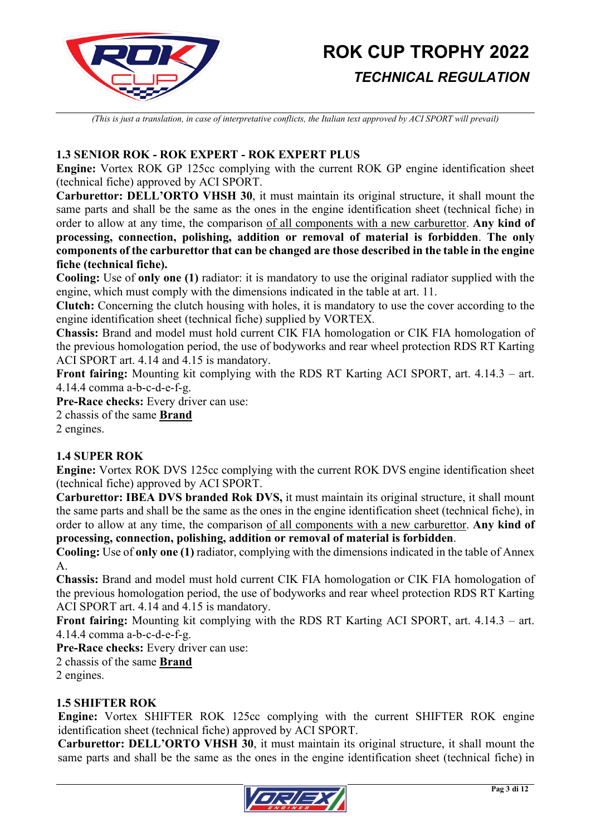

*(This is just a translation, in case of interpretative conflicts, the Italian text approved by ACI SPORT will prevail)*

### **1.3 SENIOR ROK - ROK EXPERT - ROK EXPERT PLUS**

**Engine:** Vortex ROK GP 125cc complying with the current ROK GP engine identification sheet (technical fiche) approved by ACI SPORT.

**Carburettor: DELL'ORTO VHSH 30**, it must maintain its original structure, it shall mount the same parts and shall be the same as the ones in the engine identification sheet (technical fiche) in order to allow at any time, the comparison of all components with a new carburettor. **Any kind of processing, connection, polishing, addition or removal of material is forbidden**. **The only components of the carburettor that can be changed are those described in the table in the engine fiche (technical fiche).**

**Cooling:** Use of **only one (1)** radiator: it is mandatory to use the original radiator supplied with the engine, which must comply with the dimensions indicated in the table at art. 11.

**Clutch:** Concerning the clutch housing with holes, it is mandatory to use the cover according to the engine identification sheet (technical fiche) supplied by VORTEX.

**Chassis:** Brand and model must hold current CIK FIA homologation or CIK FIA homologation of the previous homologation period, the use of bodyworks and rear wheel protection RDS RT Karting ACI SPORT art. 4.14 and 4.15 is mandatory.

**Front fairing:** Mounting kit complying with the RDS RT Karting ACI SPORT, art. 4.14.3 – art. 4.14.4 comma a-b-c-d-e-f-g.

**Pre-Race checks:** Every driver can use:

2 chassis of the same **Brand**

2 engines.

### **1.4 SUPER ROK**

**Engine:** Vortex ROK DVS 125cc complying with the current ROK DVS engine identification sheet (technical fiche) approved by ACI SPORT.

**Carburettor: IBEA DVS branded Rok DVS,** it must maintain its original structure, it shall mount the same parts and shall be the same as the ones in the engine identification sheet (technical fiche), in order to allow at any time, the comparison of all components with a new carburettor. **Any kind of processing, connection, polishing, addition or removal of material is forbidden**.

**Cooling:** Use of **only one (1)** radiator, complying with the dimensions indicated in the table of Annex A.

**Chassis:** Brand and model must hold current CIK FIA homologation or CIK FIA homologation of the previous homologation period, the use of bodyworks and rear wheel protection RDS RT Karting ACI SPORT art. 4.14 and 4.15 is mandatory.

**Front fairing:** Mounting kit complying with the RDS RT Karting ACI SPORT, art. 4.14.3 – art. 4.14.4 comma a-b-c-d-e-f-g.

**Pre-Race checks:** Every driver can use:

2 chassis of the same **Brand**

2 engines.

### **1.5 SHIFTER ROK**

**Engine:** Vortex SHIFTER ROK 125cc complying with the current SHIFTER ROK engine identification sheet (technical fiche) approved by ACI SPORT.

**Carburettor: DELL'ORTO VHSH 30**, it must maintain its original structure, it shall mount the same parts and shall be the same as the ones in the engine identification sheet (technical fiche) in

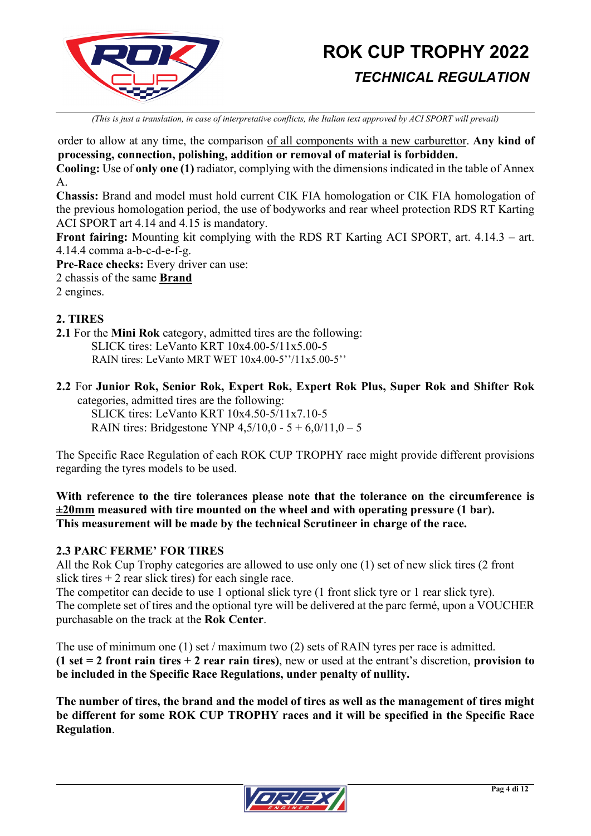

*(This is just a translation, in case of interpretative conflicts, the Italian text approved by ACI SPORT will prevail)*

order to allow at any time, the comparison of all components with a new carburettor. **Any kind of processing, connection, polishing, addition or removal of material is forbidden.**

**Cooling:** Use of **only one (1)** radiator, complying with the dimensions indicated in the table of Annex A.

**Chassis:** Brand and model must hold current CIK FIA homologation or CIK FIA homologation of the previous homologation period, the use of bodyworks and rear wheel protection RDS RT Karting ACI SPORT art 4.14 and 4.15 is mandatory.

**Front fairing:** Mounting kit complying with the RDS RT Karting ACI SPORT, art. 4.14.3 – art. 4.14.4 comma a-b-c-d-e-f-g.

**Pre-Race checks:** Every driver can use:

2 chassis of the same **Brand**

2 engines.

### **2. TIRES**

**2.1** For the **Mini Rok** category, admitted tires are the following: SLICK tires: LeVanto KRT 10x4.00-5/11x5.00-5 RAIN tires: LeVanto MRT WET 10x4.00-5''/11x5.00-5''

**2.2** For **Junior Rok, Senior Rok, Expert Rok, Expert Rok Plus, Super Rok and Shifter Rok** categories, admitted tires are the following:

SLICK tires: LeVanto KRT 10x4.50-5/11x7.10-5 RAIN tires: Bridgestone YNP  $4,5/10,0 - 5 + 6,0/11,0 - 5$ 

The Specific Race Regulation of each ROK CUP TROPHY race might provide different provisions regarding the tyres models to be used.

**With reference to the tire tolerances please note that the tolerance on the circumference is ±20mm measured with tire mounted on the wheel and with operating pressure (1 bar). This measurement will be made by the technical Scrutineer in charge of the race.**

### **2.3 PARC FERME' FOR TIRES**

All the Rok Cup Trophy categories are allowed to use only one (1) set of new slick tires (2 front slick tires  $+ 2$  rear slick tires) for each single race.

The competitor can decide to use 1 optional slick tyre (1 front slick tyre or 1 rear slick tyre). The complete set of tires and the optional tyre will be delivered at the parc fermé, upon a VOUCHER purchasable on the track at the **Rok Center**.

The use of minimum one (1) set / maximum two (2) sets of RAIN tyres per race is admitted. **(1 set = 2 front rain tires + 2 rear rain tires)**, new or used at the entrant's discretion, **provision to be included in the Specific Race Regulations, under penalty of nullity.**

**The number of tires, the brand and the model of tires as well as the management of tires might be different for some ROK CUP TROPHY races and it will be specified in the Specific Race Regulation**.

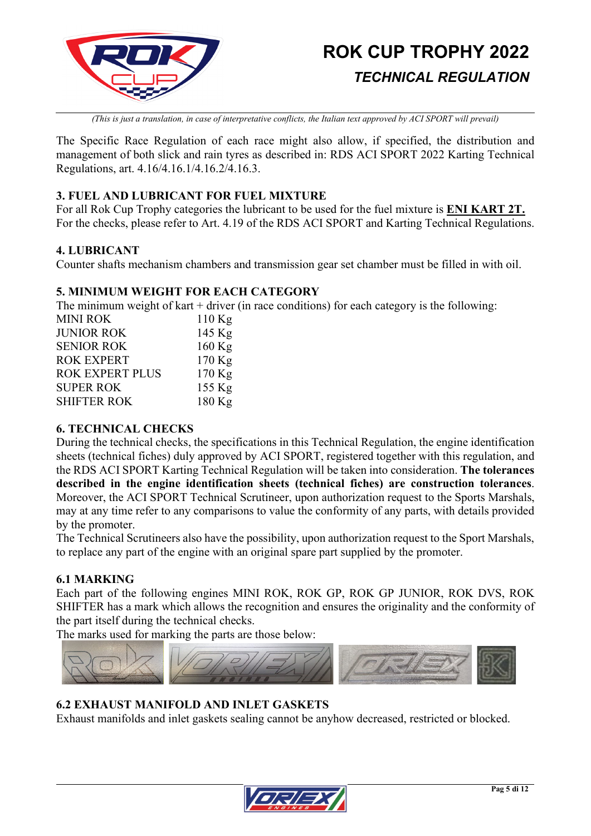

*(This is just a translation, in case of interpretative conflicts, the Italian text approved by ACI SPORT will prevail)*

The Specific Race Regulation of each race might also allow, if specified, the distribution and management of both slick and rain tyres as described in: RDS ACI SPORT 2022 Karting Technical Regulations, art. 4.16/4.16.1/4.16.2/4.16.3.

### **3. FUEL AND LUBRICANT FOR FUEL MIXTURE**

For all Rok Cup Trophy categories the lubricant to be used for the fuel mixture is **ENI KART 2T.** For the checks, please refer to Art. 4.19 of the RDS ACI SPORT and Karting Technical Regulations.

### **4. LUBRICANT**

Counter shafts mechanism chambers and transmission gear set chamber must be filled in with oil.

### **5. MINIMUM WEIGHT FOR EACH CATEGORY**

The minimum weight of kart  $+$  driver (in race conditions) for each category is the following:

| $110$ Kg |
|----------|
| 145 Kg   |
| $160$ Kg |
| 170 Kg   |
| 170 Kg   |
| 155 Kg   |
| 180 Kg   |
|          |

### **6. TECHNICAL CHECKS**

During the technical checks, the specifications in this Technical Regulation, the engine identification sheets (technical fiches) duly approved by ACI SPORT, registered together with this regulation, and the RDS ACI SPORT Karting Technical Regulation will be taken into consideration. **The tolerances described in the engine identification sheets (technical fiches) are construction tolerances**. Moreover, the ACI SPORT Technical Scrutineer, upon authorization request to the Sports Marshals, may at any time refer to any comparisons to value the conformity of any parts, with details provided by the promoter.

The Technical Scrutineers also have the possibility, upon authorization request to the Sport Marshals, to replace any part of the engine with an original spare part supplied by the promoter.

### **6.1 MARKING**

Each part of the following engines MINI ROK, ROK GP, ROK GP JUNIOR, ROK DVS, ROK SHIFTER has a mark which allows the recognition and ensures the originality and the conformity of the part itself during the technical checks.

The marks used for marking the parts are those below:



### **6.2 EXHAUST MANIFOLD AND INLET GASKETS**

Exhaust manifolds and inlet gaskets sealing cannot be anyhow decreased, restricted or blocked.

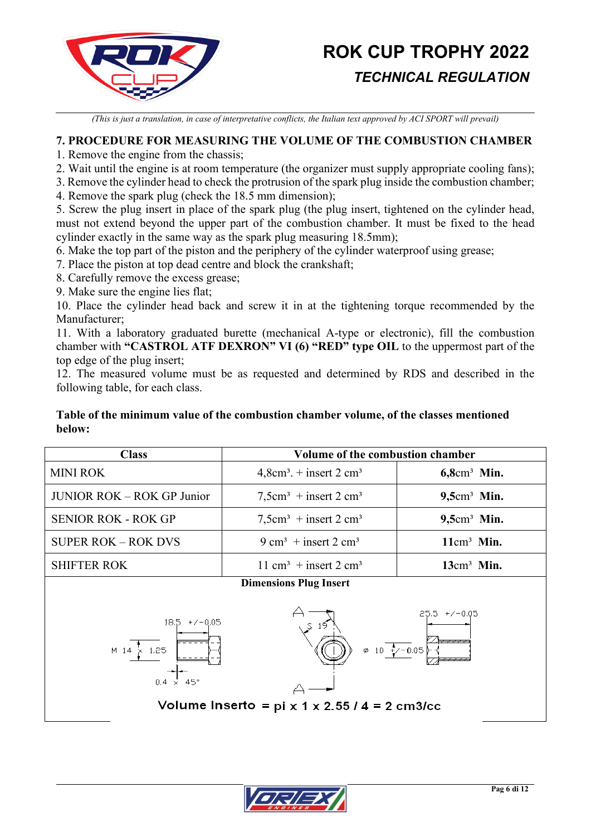

*(This is just a translation, in case of interpretative conflicts, the Italian text approved by ACI SPORT will prevail)*

### **7. PROCEDURE FOR MEASURING THE VOLUME OF THE COMBUSTION CHAMBER**

1. Remove the engine from the chassis;

2. Wait until the engine is at room temperature (the organizer must supply appropriate cooling fans);

3. Remove the cylinder head to check the protrusion of the spark plug inside the combustion chamber;

4. Remove the spark plug (check the 18.5 mm dimension);

5. Screw the plug insert in place of the spark plug (the plug insert, tightened on the cylinder head, must not extend beyond the upper part of the combustion chamber. It must be fixed to the head cylinder exactly in the same way as the spark plug measuring 18.5mm);

6. Make the top part of the piston and the periphery of the cylinder waterproof using grease;

7. Place the piston at top dead centre and block the crankshaft;

8. Carefully remove the excess grease;

9. Make sure the engine lies flat;

10. Place the cylinder head back and screw it in at the tightening torque recommended by the Manufacturer;

11. With a laboratory graduated burette (mechanical A-type or electronic), fill the combustion chamber with **"CASTROL ATF DEXRON" VI (6) "RED" type OIL** to the uppermost part of the top edge of the plug insert;

12. The measured volume must be as requested and determined by RDS and described in the following table, for each class.

### **Table of the minimum value of the combustion chamber volume, of the classes mentioned below:**

| <b>Class</b>                                                                                                                               | Volume of the combustion chamber              |                            |  |  |  |  |
|--------------------------------------------------------------------------------------------------------------------------------------------|-----------------------------------------------|----------------------------|--|--|--|--|
| <b>MINI ROK</b>                                                                                                                            | $4,8cm3$ . + insert 2 cm <sup>3</sup>         | $6,8$ cm <sup>3</sup> Min. |  |  |  |  |
| <b>JUNIOR ROK - ROK GP Junior</b>                                                                                                          | $7,5cm3$ + insert 2 cm <sup>3</sup>           | $9,5cm3$ Min.              |  |  |  |  |
| <b>SENIOR ROK - ROK GP</b>                                                                                                                 | $7,5cm3 + insert 2 cm3$                       | $9,5cm3$ Min.              |  |  |  |  |
| <b>SUPER ROK - ROK DVS</b>                                                                                                                 | $9 \text{ cm}^3$ + insert 2 cm <sup>3</sup>   | $11cm3$ Min.               |  |  |  |  |
| <b>SHIFTER ROK</b>                                                                                                                         | 11 cm <sup>3</sup> + insert 2 cm <sup>3</sup> |                            |  |  |  |  |
| <b>Dimensions Plug Insert</b><br>$25.5 + 7 - 0.05$<br>$18.5 + 7 - 0.05$<br>$\varphi$ 10 +/-0.05<br>$M$ 14<br>$\times$ 1.25<br>$0.4 \times$ |                                               |                            |  |  |  |  |
| Volume Inserto = $pi \times 1 \times 2.55 / 4 = 2 cm3/cc$                                                                                  |                                               |                            |  |  |  |  |

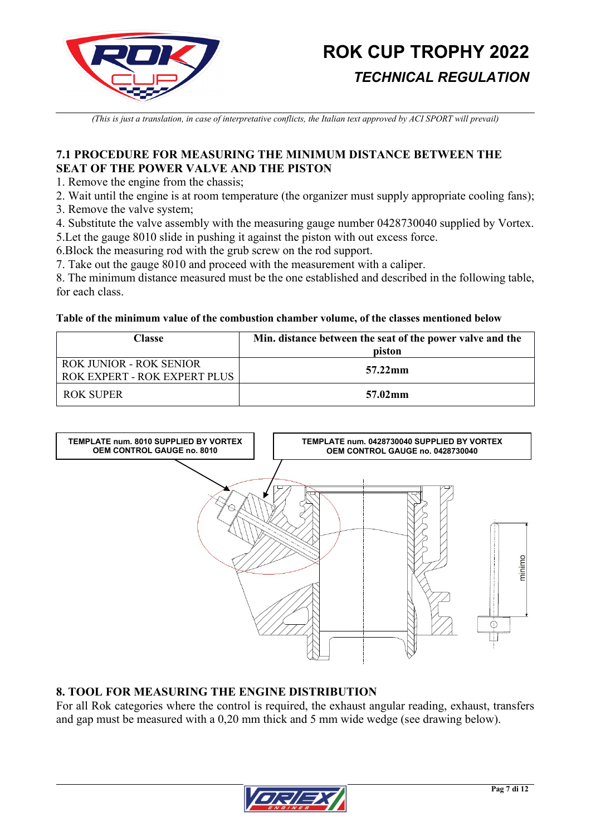

*(This is just a translation, in case of interpretative conflicts, the Italian text approved by ACI SPORT will prevail)*

### **7.1 PROCEDURE FOR MEASURING THE MINIMUM DISTANCE BETWEEN THE SEAT OF THE POWER VALVE AND THE PISTON**

1. Remove the engine from the chassis;

- 2. Wait until the engine is at room temperature (the organizer must supply appropriate cooling fans);
- 3. Remove the valve system;

4. Substitute the valve assembly with the measuring gauge number 0428730040 supplied by Vortex. 5.Let the gauge 8010 slide in pushing it against the piston with out excess force.

6.Block the measuring rod with the grub screw on the rod support.

7. Take out the gauge 8010 and proceed with the measurement with a caliper.

8. The minimum distance measured must be the one established and described in the following table, for each class.

#### **Table of the minimum value of the combustion chamber volume, of the classes mentioned below**

| Classe                                                         | Min. distance between the seat of the power valve and the<br>piston |
|----------------------------------------------------------------|---------------------------------------------------------------------|
| ROK JUNIOR - ROK SENIOR<br><b>ROK EXPERT - ROK EXPERT PLUS</b> | 57.22mm                                                             |
| ROK SUPER                                                      | $57.02 \,\mathrm{mm}$                                               |



### **8. TOOL FOR MEASURING THE ENGINE DISTRIBUTION**

For all Rok categories where the control is required, the exhaust angular reading, exhaust, transfers and gap must be measured with a 0,20 mm thick and 5 mm wide wedge (see drawing below).

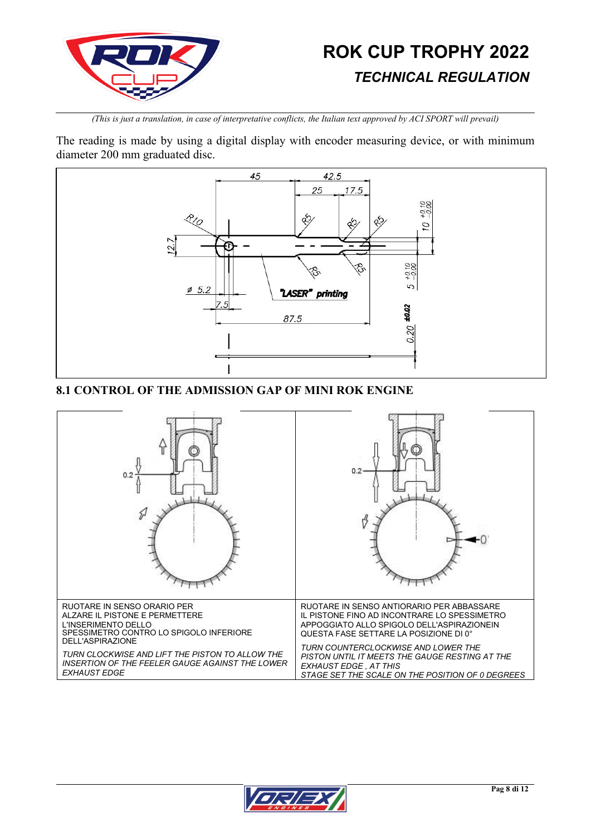

*(This is just a translation, in case of interpretative conflicts, the Italian text approved by ACI SPORT will prevail)*

The reading is made by using a digital display with encoder measuring device, or with minimum diameter 200 mm graduated disc.



### **8.1 CONTROL OF THE ADMISSION GAP OF MINI ROK ENGINE**



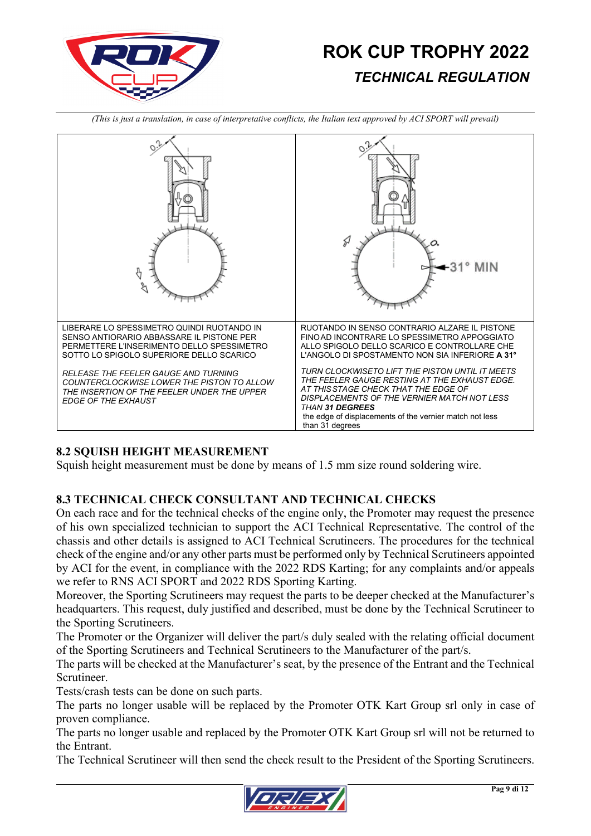

o,  $\circ$ Þ  $31^{\circ}$  MIN ₹ Ŕ. LIBERARE LO SPESSIMETRO QUINDI RUOTANDO IN RUOTANDO IN SENSO CONTRARIO ALZARE IL PISTONE SENSO ANTIORARIO ABBASSARE IL PISTONE PER FINOAD INCONTRARE LO SPESSIMETRO APPOGGIATO PERMETTERE L'INSERIMENTO DELLO SPESSIMETRO ALLO SPIGOLO DELLO SCARICO E CONTROLLARE CHE SOTTO LO SPIGOLO SUPERIORE DELLO SCARICO L'ANGOLO DI SPOSTAMENTO NON SIA INFERIORE **A 31°** *TURN CLOCKWISETO LIFT THE PISTON UNTIL IT MEETS RELEASE THE FEELER GAUGE AND TURNING THE FEELER GAUGE RESTING AT THE EXHAUST EDGE. COUNTERCLOCKWISE LOWER THE PISTON TO ALLOW AT THISSTAGE CHECK THAT THE EDGE OF THE INSERTION OF THE FEELER UNDER THE UPPER DISPLACEMENTS OF THE VERNIER MATCH NOT LESS EDGE OF THE EXHAUST THAN 31 DEGREES* the edge of displacements of the vernier match not less than 31 degrees

*(This is just a translation, in case of interpretative conflicts, the Italian text approved by ACI SPORT will prevail)*

### **8.2 SQUISH HEIGHT MEASUREMENT**

Squish height measurement must be done by means of 1.5 mm size round soldering wire.

### **8.3 TECHNICAL CHECK CONSULTANT AND TECHNICAL CHECKS**

On each race and for the technical checks of the engine only, the Promoter may request the presence of his own specialized technician to support the ACI Technical Representative. The control of the chassis and other details is assigned to ACI Technical Scrutineers. The procedures for the technical check of the engine and/or any other parts must be performed only by Technical Scrutineers appointed by ACI for the event, in compliance with the 2022 RDS Karting; for any complaints and/or appeals we refer to RNS ACI SPORT and 2022 RDS Sporting Karting.

Moreover, the Sporting Scrutineers may request the parts to be deeper checked at the Manufacturer's headquarters. This request, duly justified and described, must be done by the Technical Scrutineer to the Sporting Scrutineers.

The Promoter or the Organizer will deliver the part/s duly sealed with the relating official document of the Sporting Scrutineers and Technical Scrutineers to the Manufacturer of the part/s.

The parts will be checked at the Manufacturer's seat, by the presence of the Entrant and the Technical Scrutineer.

Tests/crash tests can be done on such parts.

The parts no longer usable will be replaced by the Promoter OTK Kart Group srl only in case of proven compliance.

The parts no longer usable and replaced by the Promoter OTK Kart Group srl will not be returned to the Entrant.

The Technical Scrutineer will then send the check result to the President of the Sporting Scrutineers.

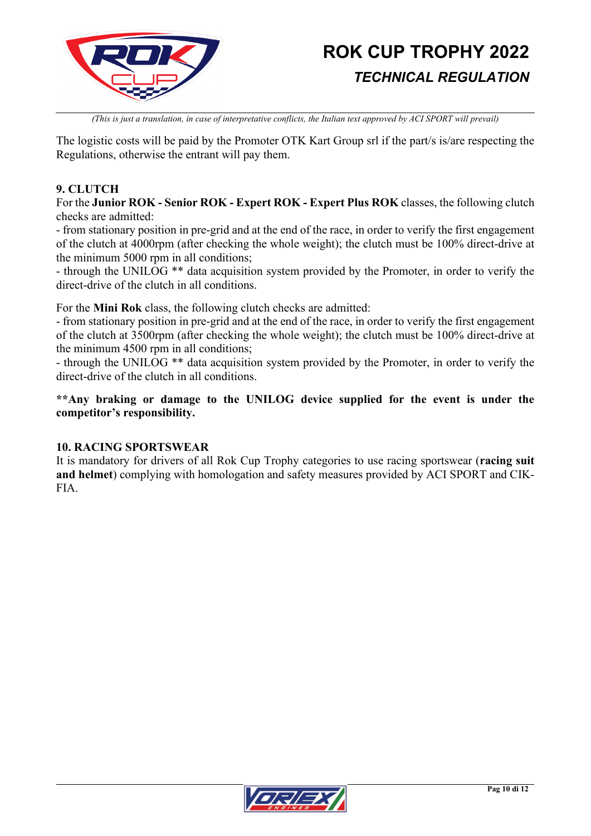

*(This is just a translation, in case of interpretative conflicts, the Italian text approved by ACI SPORT will prevail)*

The logistic costs will be paid by the Promoter OTK Kart Group srl if the part/s is/are respecting the Regulations, otherwise the entrant will pay them.

### **9. CLUTCH**

For the **Junior ROK - Senior ROK - Expert ROK - Expert Plus ROK** classes, the following clutch checks are admitted:

- from stationary position in pre-grid and at the end of the race, in order to verify the first engagement of the clutch at 4000rpm (after checking the whole weight); the clutch must be 100% direct-drive at the minimum 5000 rpm in all conditions;

- through the UNILOG \*\* data acquisition system provided by the Promoter, in order to verify the direct-drive of the clutch in all conditions.

For the **Mini Rok** class, the following clutch checks are admitted:

- from stationary position in pre-grid and at the end of the race, in order to verify the first engagement of the clutch at 3500rpm (after checking the whole weight); the clutch must be 100% direct-drive at the minimum 4500 rpm in all conditions;

- through the UNILOG \*\* data acquisition system provided by the Promoter, in order to verify the direct-drive of the clutch in all conditions.

**\*\*Any braking or damage to the UNILOG device supplied for the event is under the competitor's responsibility.**

### **10. RACING SPORTSWEAR**

It is mandatory for drivers of all Rok Cup Trophy categories to use racing sportswear (**racing suit and helmet**) complying with homologation and safety measures provided by ACI SPORT and CIK-FIA.

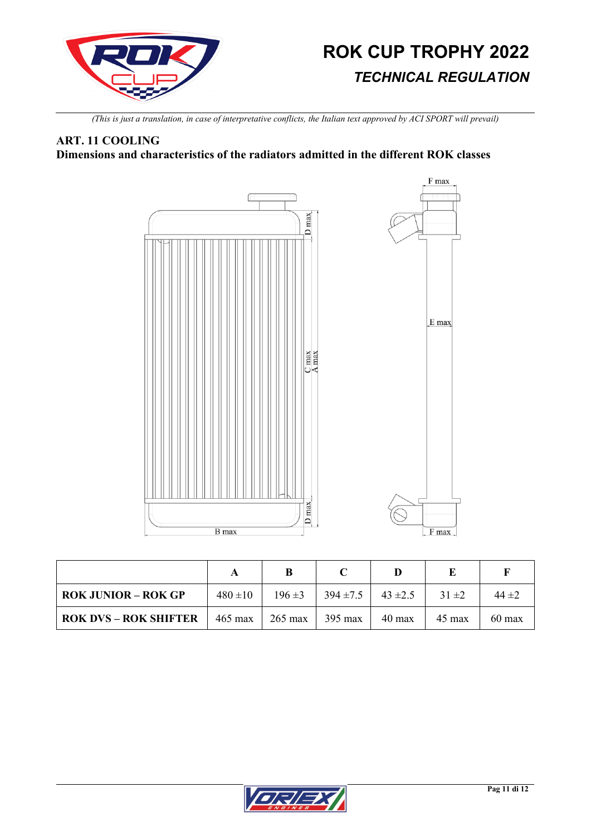

*(This is just a translation, in case of interpretative conflicts, the Italian text approved by ACI SPORT will prevail)*

### **ART. 11 COOLING**

**Dimensions and characteristics of the radiators admitted in the different ROK classes**



| <b>ROK JUNIOR – ROK GP</b>   | $480 + 10$        | $196 \pm 3$       | $394 \pm 7.5$ | $43 \pm 2.5$     | $31 \pm 2$       | $44 \pm 2$       |
|------------------------------|-------------------|-------------------|---------------|------------------|------------------|------------------|
| <b>ROK DVS - ROK SHIFTER</b> | $465 \text{ max}$ | $265 \text{ max}$ | 395 max       | $40 \text{ max}$ | $45 \text{ max}$ | $60 \text{ max}$ |